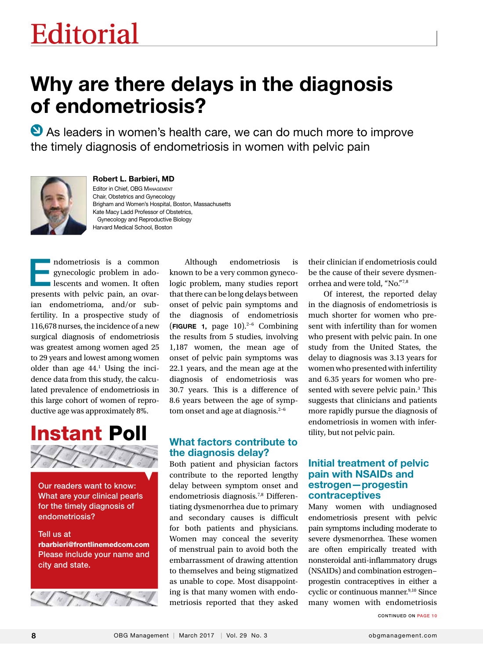# Editorial Editorial

## Why are there delays in the diagnosis of endometriosis?

 $\bullet$  As leaders in women's health care, we can do much more to improve the timely diagnosis of endometriosis in women with pelvic pain



Robert L. Barbieri, MD Editor in Chief, OBG Management Chair, Obstetrics and Gynecology Brigham and Women's Hospital, Boston, Massachusetts Kate Macy Ladd Professor of Obstetrics, Gynecology and Reproductive Biology Harvard Medical School, Boston

Endometriosis is a common gynecologic problem in adolescents and women. It often presents with pelvic pain, an ovarian endometrioma, and/or subfertility. In a prospective study of 116,678 nurses, the incidence of a new surgical diagnosis of endometriosis was greatest among women aged 25 to 29 years and lowest among women older than age  $44<sup>1</sup>$  Using the incidence data from this study, the calculated prevalence of endometriosis in this large cohort of women of reproductive age was approximately 8%.



Our readers want to know: What are your clinical pearls for the timely diagnosis of endometriosis?

Tell us at rbarbieri@frontlinemedcom.com Please include your name and city and state.



Although endometriosis is known to be a very common gynecologic problem, many studies report that there can be long delays between onset of pelvic pain symptoms and the diagnosis of endometriosis (FIGURE 1, page 10).2−6 Combining the results from 5 studies, involving 1,187 women, the mean age of onset of pelvic pain symptoms was 22.1 years, and the mean age at the diagnosis of endometriosis was 30.7 years. This is a difference of 8.6 years between the age of symptom onset and age at diagnosis.<sup>2−6</sup>

#### What factors contribute to the diagnosis delay?

Both patient and physician factors contribute to the reported lengthy delay between symptom onset and endometriosis diagnosis.7,8 Differentiating dysmenorrhea due to primary and secondary causes is difficult for both patients and physicians. Women may conceal the severity of menstrual pain to avoid both the embarrassment of drawing attention to themselves and being stigmatized as unable to cope. Most disappointing is that many women with endometriosis reported that they asked their clinician if endometriosis could be the cause of their severe dysmenorrhea and were told, "No."7,8

Of interest, the reported delay in the diagnosis of endometriosis is much shorter for women who present with infertility than for women who present with pelvic pain. In one study from the United States, the delay to diagnosis was 3.13 years for women who presented with infertility and 6.35 years for women who presented with severe pelvic pain.<sup>3</sup> This suggests that clinicians and patients more rapidly pursue the diagnosis of endometriosis in women with infertility, but not pelvic pain.

#### Initial treatment of pelvic pain with NSAIDs and estrogen—progestin contraceptives

Many women with undiagnosed endometriosis present with pelvic pain symptoms including moderate to severe dysmenorrhea. These women are often empirically treated with nonsteroidal anti-inflammatory drugs (NSAIDs) and combination estrogen− progestin contraceptives in either a cyclic or continuous manner.<sup>9,10</sup> Since many women with endometriosis

CONTINUED ON PAGE 10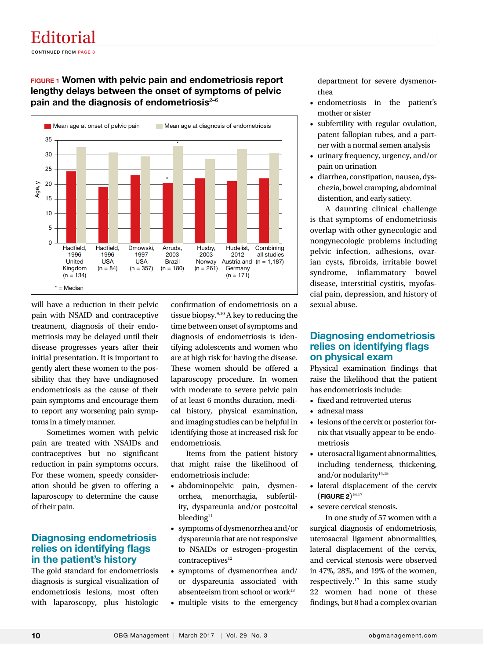### Editorial

CONTINUED FROM PAGE 8

#### FIGURE 1 Women with pelvic pain and endometriosis report lengthy delays between the onset of symptoms of pelvic pain and the diagnosis of endometriosis $2-6$



will have a reduction in their pelvic pain with NSAID and contraceptive treatment, diagnosis of their endometriosis may be delayed until their disease progresses years after their initial presentation. It is important to gently alert these women to the possibility that they have undiagnosed endometriosis as the cause of their pain symptoms and encourage them to report any worsening pain symptoms in a timely manner.

Sometimes women with pelvic pain are treated with NSAIDs and contraceptives but no significant reduction in pain symptoms occurs. For these women, speedy consideration should be given to offering a laparoscopy to determine the cause of their pain.

#### Diagnosing endometriosis relies on identifying flags in the patient's history

The gold standard for endometriosis diagnosis is surgical visualization of endometriosis lesions, most often with laparoscopy, plus histologic confirmation of endometriosis on a tissue biopsy.<sup>9,10</sup> A key to reducing the time between onset of symptoms and diagnosis of endometriosis is identifying adolescents and women who are at high risk for having the disease. These women should be offered a laparoscopy procedure. In women with moderate to severe pelvic pain of at least 6 months duration, medical history, physical examination, and imaging studies can be helpful in identifying those at increased risk for endometriosis.

Items from the patient history that might raise the likelihood of endometriosis include:

- abdominopelvic pain, dysmenorrhea, menorrhagia, subfertility, dyspareunia and/or postcoital bleeding<sup>11</sup>
- symptoms of dysmenorrhea and/or dyspareunia that are not responsive to NSAIDs or estrogen−progestin  $contrac出ives<sup>12</sup>$
- symptoms of dysmenorrhea and/ or dyspareunia associated with absenteeism from school or work<sup>13</sup>
- multiple visits to the emergency

department for severe dysmenorrhea

- endometriosis in the patient's mother or sister
- subfertility with regular ovulation, patent fallopian tubes, and a partner with a normal semen analysis
- urinary frequency, urgency, and/or pain on urination
- diarrhea, constipation, nausea, dyschezia, bowel cramping, abdominal distention, and early satiety.

A daunting clinical challenge is that symptoms of endometriosis overlap with other gynecologic and nongynecologic problems including pelvic infection, adhesions, ovarian cysts, fibroids, irritable bowel syndrome, inflammatory bowel disease, interstitial cystitis, myofascial pain, depression, and history of sexual abuse.

#### Diagnosing endometriosis relies on identifying flags on physical exam

Physical examination findings that raise the likelihood that the patient has endometriosis include:

- fixed and retroverted uterus
- adnexal mass
- lesions of the cervix or posterior fornix that visually appear to be endometriosis
- uterosacral ligament abnormalities, including tenderness, thickening, and/or nodularity $14,15$
- lateral displacement of the cervix  $($  FIGURE 2 $)$ <sup>16,17</sup>
- severe cervical stenosis.

In one study of 57 women with a surgical diagnosis of endometriosis, uterosacral ligament abnormalities, lateral displacement of the cervix, and cervical stenosis were observed in 47%, 28%, and 19% of the women, respectively.17 In this same study 22 women had none of these findings, but 8 had a complex ovarian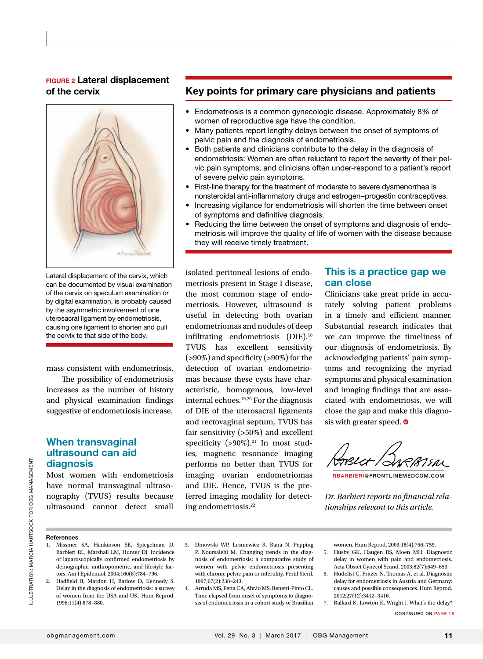#### FIGURE 2 Lateral displacement of the cervix



Lateral displacement of the cervix, which can be documented by visual examination of the cervix on speculum examination or by digital examination, is probably caused by the asymmetric involvement of one uterosacral ligament by endometriosis, causing one ligament to shorten and pull the cervix to that side of the body.

mass consistent with endometriosis.

The possibility of endometriosis increases as the number of history and physical examination findings suggestive of endometriosis increase.

#### When transvaginal ultrasound can aid diagnosis

Most women with endometriosis have normal transvaginal ultrasonography (TVUS) results because ultrasound cannot detect small

#### Key points for primary care physicians and patients

- Endometriosis is a common gynecologic disease. Approximately 8% of women of reproductive age have the condition.
- Many patients report lengthy delays between the onset of symptoms of pelvic pain and the diagnosis of endometriosis.
- Both patients and clinicians contribute to the delay in the diagnosis of endometriosis: Women are often reluctant to report the severity of their pelvic pain symptoms, and clinicians often under-respond to a patient's report of severe pelvic pain symptoms.
- First-line therapy for the treatment of moderate to severe dysmenorrhea is nonsteroidal anti-inflammatory drugs and estrogen−progestin contraceptives.
- Increasing vigilance for endometriosis will shorten the time between onset of symptoms and definitive diagnosis.
- Reducing the time between the onset of symptoms and diagnosis of endometriosis will improve the quality of life of women with the disease because they will receive timely treatment.

isolated peritoneal lesions of endometriosis present in Stage I disease, the most common stage of endometriosis. However, ultrasound is useful in detecting both ovarian endometriomas and nodules of deep infiltrating endometriosis (DIE).18 TVUS has excellent sensitivity (>90%) and specificity (>90%) for the detection of ovarian endometriomas because these cysts have characteristic, homogenous, low-level internal echoes.19,20 For the diagnosis of DIE of the uterosacral ligaments and rectovaginal septum, TVUS has fair sensitivity (>50%) and excellent specificity  $(>90\%)$ .<sup>21</sup> In most studies, magnetic resonance imaging performs no better than TVUS for imaging ovarian endometriomas and DIE. Hence, TVUS is the preferred imaging modality for detecting endometriosis.22

#### This is a practice gap we can close

Clinicians take great pride in accurately solving patient problems in a timely and efficient manner. Substantial research indicates that we can improve the timeliness of our diagnosis of endometriosis. By acknowledging patients' pain symptoms and recognizing the myriad symptoms and physical examination and imaging findings that are associated with endometriosis, we will close the gap and make this diagnosis with greater speed. **O** 

7*5a*x

RBARBIERI@FRONTLINEMEDCOM.COM

*Dr. Barbieri reports no financial relationships relevant to this article.*

#### **References**

- 1. Missmer SA, Hankinson SE, Spiegelman D, Barbieri RL, Marshall LM, Hunter DJ. Incidence of laparoscopically confirmed endometriosis by demographic, anthropometric, and lifestyle factors. Am J Epidemiol. 2004;160(8):784−796.
- 2. Hadfield R, Mardon H, Barlow D, Kennedy S. Delay in the diagnosis of endometriosis: a survey of women from the USA and UK. Hum Reprod. 1996;11(4):878−880.
- 3. Dmowski WP, Lesniewicz R, Rana N, Pepping P, Noursalehi M. Changing trends in the diagnosis of endometriosis: a comparative study of women with pelvic endometriosis presenting with chronic pelvic pain or infertility. Fertil Steril. 1997;67(2):238−243.
- 4. Arruda MS, Petta CA, Abrão MS, Benetti-Pinto CL. Time elapsed from onset of symptoms to diagnosis of endometriosis in a cohort study of Brazilian

women. Hum Reprod. 2003;18(4):756−759.

- 5. Husby GK, Haugen RS, Moen MH. Diagnostic delay in women with pain and endometriosis. Acta Obstet Gynecol Scand. 2003;82(7):649−653.
- 6. Hudelist G, Fritzer N, Thomas A, et al. Diagnostic delay for endometriosis in Austria and Germany: causes and possible consequences. Hum Reprod. 2012;27(12):3412−3416.
- 7. Ballard K, Lowton K, Wright J. What's the delay?

CONTINUED ON PAGE 16